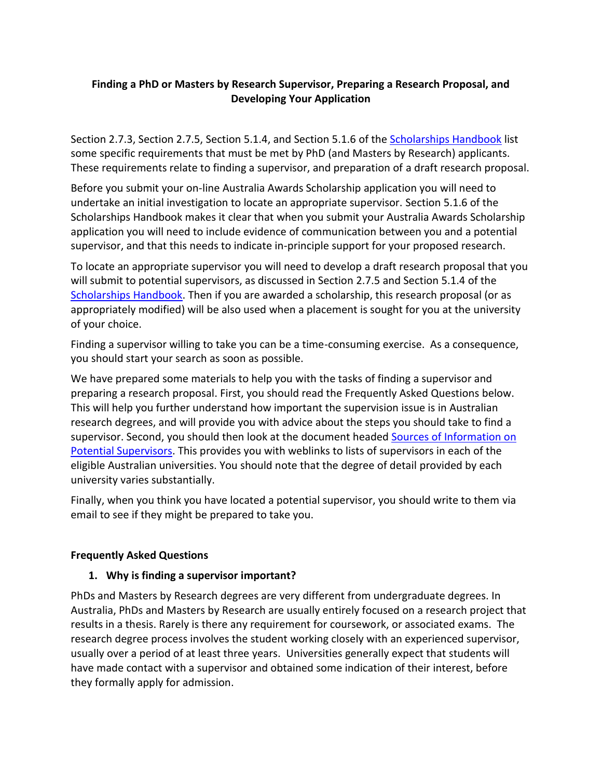#### **Finding a PhD or Masters by Research Supervisor, Preparing a Research Proposal, and Developing Your Application**

Section 2.7.3, Section 2.7.5, Section 5.1.4, and Section 5.1.6 of the [Scholarships Handbook](http://asdiv.edu.vn/images/Website_docs/Scholarships%20Policy%20Handbook.pdf) list some specific requirements that must be met by PhD (and Masters by Research) applicants. These requirements relate to finding a supervisor, and preparation of a draft research proposal.

Before you submit your on-line Australia Awards Scholarship application you will need to undertake an initial investigation to locate an appropriate supervisor. Section 5.1.6 of the Scholarships Handbook makes it clear that when you submit your Australia Awards Scholarship application you will need to include evidence of communication between you and a potential supervisor, and that this needs to indicate in-principle support for your proposed research.

To locate an appropriate supervisor you will need to develop a draft research proposal that you will submit to potential supervisors, as discussed in Section 2.7.5 and Section 5.1.4 of the [Scholarships Handbook.](http://asdiv.edu.vn/images/Website_docs/Scholarships%20Policy%20Handbook.pdf) Then if you are awarded a scholarship, this research proposal (or as appropriately modified) will be also used when a placement is sought for you at the university of your choice.

Finding a supervisor willing to take you can be a time-consuming exercise. As a consequence, you should start your search as soon as possible.

We have prepared some materials to help you with the tasks of finding a supervisor and preparing a research proposal. First, you should read the Frequently Asked Questions below. This will help you further understand how important the supervision issue is in Australian research degrees, and will provide you with advice about the steps you should take to find a supervisor. Second, you should then look at the document headed Sources of Information on [Potential Supervisors.](http://asdiv.edu.vn/images/Website_docs/Sources%20of%20Information%20on%20Potential%20Supervisors.pdf) This provides you with weblinks to lists of supervisors in each of the eligible Australian universities. You should note that the degree of detail provided by each university varies substantially.

Finally, when you think you have located a potential supervisor, you should write to them via email to see if they might be prepared to take you.

#### **Frequently Asked Questions**

#### **1. Why is finding a supervisor important?**

PhDs and Masters by Research degrees are very different from undergraduate degrees. In Australia, PhDs and Masters by Research are usually entirely focused on a research project that results in a thesis. Rarely is there any requirement for coursework, or associated exams. The research degree process involves the student working closely with an experienced supervisor, usually over a period of at least three years. Universities generally expect that students will have made contact with a supervisor and obtained some indication of their interest, before they formally apply for admission.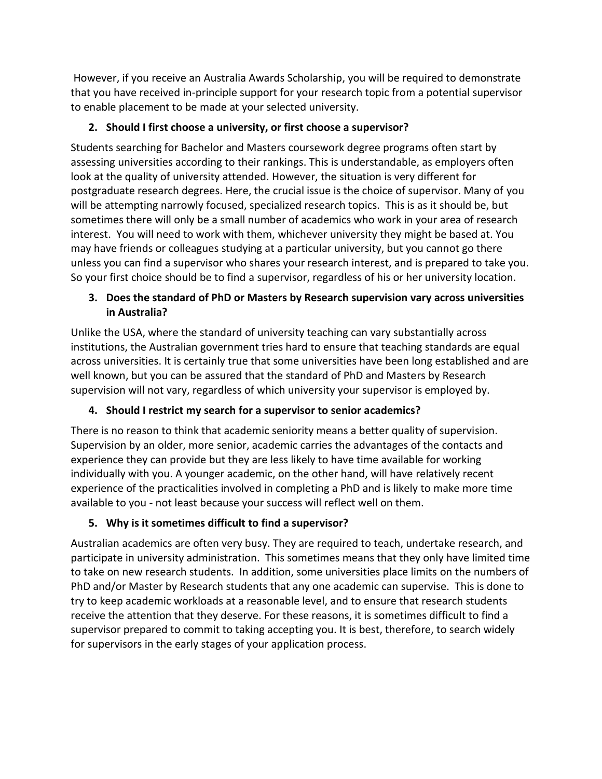However, if you receive an Australia Awards Scholarship, you will be required to demonstrate that you have received in-principle support for your research topic from a potential supervisor to enable placement to be made at your selected university.

## **2. Should I first choose a university, or first choose a supervisor?**

Students searching for Bachelor and Masters coursework degree programs often start by assessing universities according to their rankings. This is understandable, as employers often look at the quality of university attended. However, the situation is very different for postgraduate research degrees. Here, the crucial issue is the choice of supervisor. Many of you will be attempting narrowly focused, specialized research topics. This is as it should be, but sometimes there will only be a small number of academics who work in your area of research interest. You will need to work with them, whichever university they might be based at. You may have friends or colleagues studying at a particular university, but you cannot go there unless you can find a supervisor who shares your research interest, and is prepared to take you. So your first choice should be to find a supervisor, regardless of his or her university location.

## **3. Does the standard of PhD or Masters by Research supervision vary across universities in Australia?**

Unlike the USA, where the standard of university teaching can vary substantially across institutions, the Australian government tries hard to ensure that teaching standards are equal across universities. It is certainly true that some universities have been long established and are well known, but you can be assured that the standard of PhD and Masters by Research supervision will not vary, regardless of which university your supervisor is employed by.

# **4. Should I restrict my search for a supervisor to senior academics?**

There is no reason to think that academic seniority means a better quality of supervision. Supervision by an older, more senior, academic carries the advantages of the contacts and experience they can provide but they are less likely to have time available for working individually with you. A younger academic, on the other hand, will have relatively recent experience of the practicalities involved in completing a PhD and is likely to make more time available to you - not least because your success will reflect well on them.

# **5. Why is it sometimes difficult to find a supervisor?**

Australian academics are often very busy. They are required to teach, undertake research, and participate in university administration. This sometimes means that they only have limited time to take on new research students. In addition, some universities place limits on the numbers of PhD and/or Master by Research students that any one academic can supervise. This is done to try to keep academic workloads at a reasonable level, and to ensure that research students receive the attention that they deserve. For these reasons, it is sometimes difficult to find a supervisor prepared to commit to taking accepting you. It is best, therefore, to search widely for supervisors in the early stages of your application process.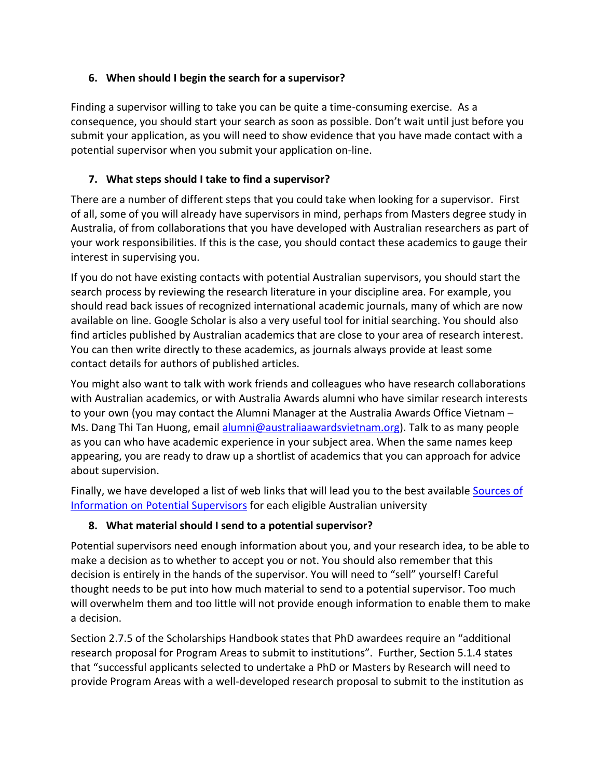#### **6. When should I begin the search for a supervisor?**

Finding a supervisor willing to take you can be quite a time-consuming exercise. As a consequence, you should start your search as soon as possible. Don't wait until just before you submit your application, as you will need to show evidence that you have made contact with a potential supervisor when you submit your application on-line.

## **7. What steps should I take to find a supervisor?**

There are a number of different steps that you could take when looking for a supervisor. First of all, some of you will already have supervisors in mind, perhaps from Masters degree study in Australia, of from collaborations that you have developed with Australian researchers as part of your work responsibilities. If this is the case, you should contact these academics to gauge their interest in supervising you.

If you do not have existing contacts with potential Australian supervisors, you should start the search process by reviewing the research literature in your discipline area. For example, you should read back issues of recognized international academic journals, many of which are now available on line. Google Scholar is also a very useful tool for initial searching. You should also find articles published by Australian academics that are close to your area of research interest. You can then write directly to these academics, as journals always provide at least some contact details for authors of published articles.

You might also want to talk with work friends and colleagues who have research collaborations with Australian academics, or with Australia Awards alumni who have similar research interests to your own (you may contact the Alumni Manager at the Australia Awards Office Vietnam – Ms. Dang Thi Tan Huong, email [alumni@australiaawardsvietnam.org\)](mailto:alumni@australiaawardsvietnam.org). Talk to as many people as you can who have academic experience in your subject area. When the same names keep appearing, you are ready to draw up a shortlist of academics that you can approach for advice about supervision.

Finally, we have developed a list of web links that will lead you to the best available [Sources](http://asdiv.edu.vn/images/Website_docs/Sources%20of%20Information%20on%20Potential%20Supervisors.pdf) of Information [on Potential Supervisors](http://asdiv.edu.vn/images/Website_docs/Sources%20of%20Information%20on%20Potential%20Supervisors.pdf) for each eligible Australian university

## **8. What material should I send to a potential supervisor?**

Potential supervisors need enough information about you, and your research idea, to be able to make a decision as to whether to accept you or not. You should also remember that this decision is entirely in the hands of the supervisor. You will need to "sell" yourself! Careful thought needs to be put into how much material to send to a potential supervisor. Too much will overwhelm them and too little will not provide enough information to enable them to make a decision.

Section 2.7.5 of the Scholarships Handbook states that PhD awardees require an "additional research proposal for Program Areas to submit to institutions". Further, Section 5.1.4 states that "successful applicants selected to undertake a PhD or Masters by Research will need to provide Program Areas with a well-developed research proposal to submit to the institution as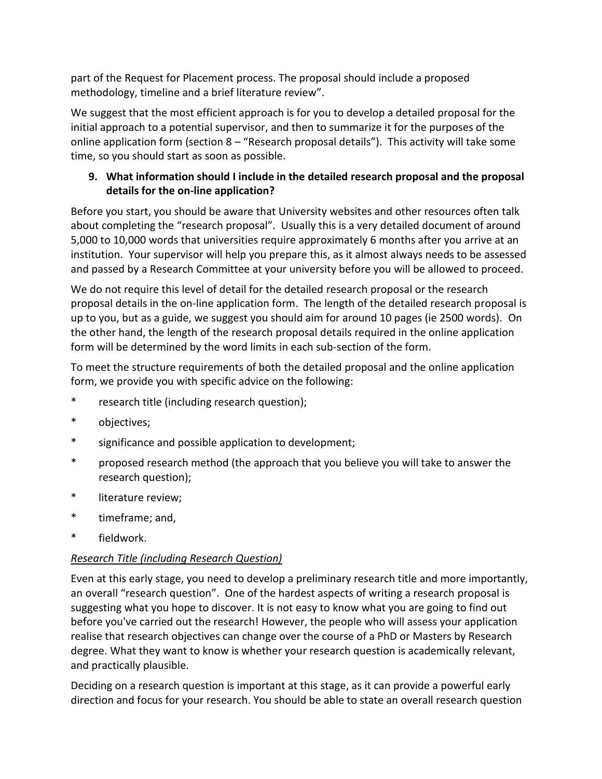part of the Request for Placement process. The proposal should include a proposed methodology, timeline and a brief literature review".

We suggest that the most efficient approach is for you to develop a detailed proposal for the initial approach to a potential supervisor, and then to summarize it for the purposes of the online application form (section 8 – "Research proposal details"). This activity will take some time, so you should start as soon as possible.

## **9. What information should I include in the detailed research proposal and the proposal details for the on-line application?**

Before you start, you should be aware that University websites and other resources often talk about completing the "research proposal". Usually this is a very detailed document of around 5,000 to 10,000 words that universities require approximately 6 months after you arrive at an institution. Your supervisor will help you prepare this, as it almost always needs to be assessed and passed by a Research Committee at your university before you will be allowed to proceed.

We do not require this level of detail for the detailed research proposal or the research proposal details in the on-line application form. The length of the detailed research proposal is up to you, but as a guide, we suggest you should aim for around 10 pages (ie 2500 words). On the other hand, the length of the research proposal details required in the online application form will be determined by the word limits in each sub-section of the form.

To meet the structure requirements of both the detailed proposal and the online application form, we provide you with specific advice on the following:

- \* research title (including research question);
- \* objectives;
- \* significance and possible application to development;
- \* proposed research method (the approach that you believe you will take to answer the research question);
- \* literature review;
- \* timeframe; and,
- \* fieldwork.

## *Research Title (including Research Question)*

Even at this early stage, you need to develop a preliminary research title and more importantly, an overall "research question". One of the hardest aspects of writing a research proposal is suggesting what you hope to discover. It is not easy to know what you are going to find out before you've carried out the research! However, the people who will assess your application realise that research objectives can change over the course of a PhD or Masters by Research degree. What they want to know is whether your research question is academically relevant, and practically plausible.

Deciding on a research question is important at this stage, as it can provide a powerful early direction and focus for your research. You should be able to state an overall research question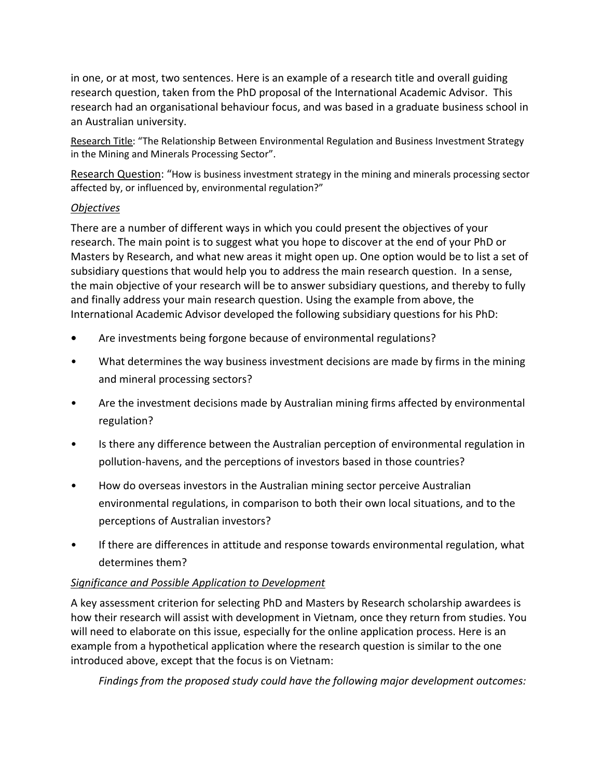in one, or at most, two sentences. Here is an example of a research title and overall guiding research question, taken from the PhD proposal of the International Academic Advisor. This research had an organisational behaviour focus, and was based in a graduate business school in an Australian university.

Research Title: "The Relationship Between Environmental Regulation and Business Investment Strategy in the Mining and Minerals Processing Sector".

Research Question: "How is business investment strategy in the mining and minerals processing sector affected by, or influenced by, environmental regulation?"

#### *Objectives*

There are a number of different ways in which you could present the objectives of your research. The main point is to suggest what you hope to discover at the end of your PhD or Masters by Research, and what new areas it might open up. One option would be to list a set of subsidiary questions that would help you to address the main research question. In a sense, the main objective of your research will be to answer subsidiary questions, and thereby to fully and finally address your main research question. Using the example from above, the International Academic Advisor developed the following subsidiary questions for his PhD:

- **•** Are investments being forgone because of environmental regulations?
- What determines the way business investment decisions are made by firms in the mining and mineral processing sectors?
- Are the investment decisions made by Australian mining firms affected by environmental regulation?
- Is there any difference between the Australian perception of environmental regulation in pollution-havens, and the perceptions of investors based in those countries?
- How do overseas investors in the Australian mining sector perceive Australian environmental regulations, in comparison to both their own local situations, and to the perceptions of Australian investors?
- If there are differences in attitude and response towards environmental regulation, what determines them?

#### *Significance and Possible Application to Development*

A key assessment criterion for selecting PhD and Masters by Research scholarship awardees is how their research will assist with development in Vietnam, once they return from studies. You will need to elaborate on this issue, especially for the online application process. Here is an example from a hypothetical application where the research question is similar to the one introduced above, except that the focus is on Vietnam:

*Findings from the proposed study could have the following major development outcomes:*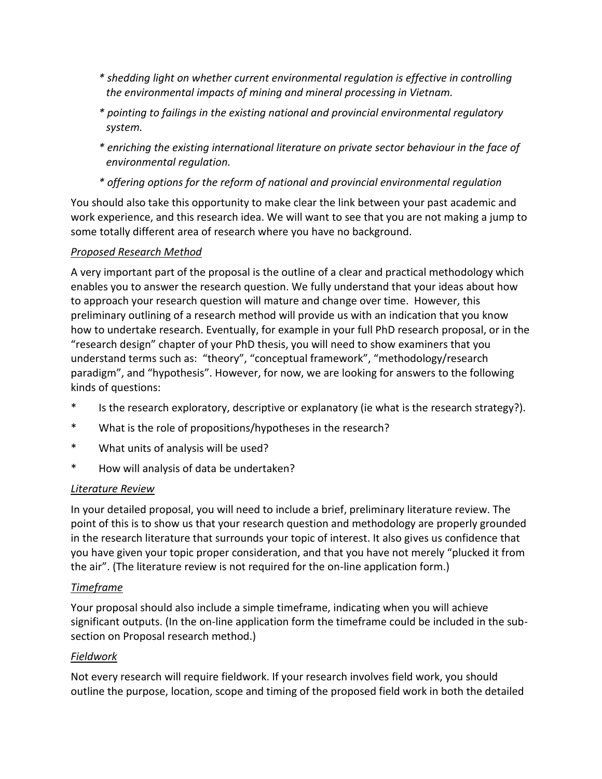- *\* shedding light on whether current environmental regulation is effective in controlling the environmental impacts of mining and mineral processing in Vietnam.*
- *\* pointing to failings in the existing national and provincial environmental regulatory system.*
- *\* enriching the existing international literature on private sector behaviour in the face of environmental regulation.*
- *\* offering options for the reform of national and provincial environmental regulation*

You should also take this opportunity to make clear the link between your past academic and work experience, and this research idea. We will want to see that you are not making a jump to some totally different area of research where you have no background.

#### *Proposed Research Method*

A very important part of the proposal is the outline of a clear and practical methodology which enables you to answer the research question. We fully understand that your ideas about how to approach your research question will mature and change over time. However, this preliminary outlining of a research method will provide us with an indication that you know how to undertake research. Eventually, for example in your full PhD research proposal, or in the "research design" chapter of your PhD thesis, you will need to show examiners that you understand terms such as: "theory", "conceptual framework", "methodology/research paradigm", and "hypothesis". However, for now, we are looking for answers to the following kinds of questions:

- \* Is the research exploratory, descriptive or explanatory (ie what is the research strategy?).
- \* What is the role of propositions/hypotheses in the research?
- \* What units of analysis will be used?
- \* How will analysis of data be undertaken?

#### *Literature Review*

In your detailed proposal, you will need to include a brief, preliminary literature review. The point of this is to show us that your research question and methodology are properly grounded in the research literature that surrounds your topic of interest. It also gives us confidence that you have given your topic proper consideration, and that you have not merely "plucked it from the air". (The literature review is not required for the on-line application form.)

## *Timeframe*

Your proposal should also include a simple timeframe, indicating when you will achieve significant outputs. (In the on-line application form the timeframe could be included in the subsection on Proposal research method.)

## *Fieldwork*

Not every research will require fieldwork. If your research involves field work, you should outline the purpose, location, scope and timing of the proposed field work in both the detailed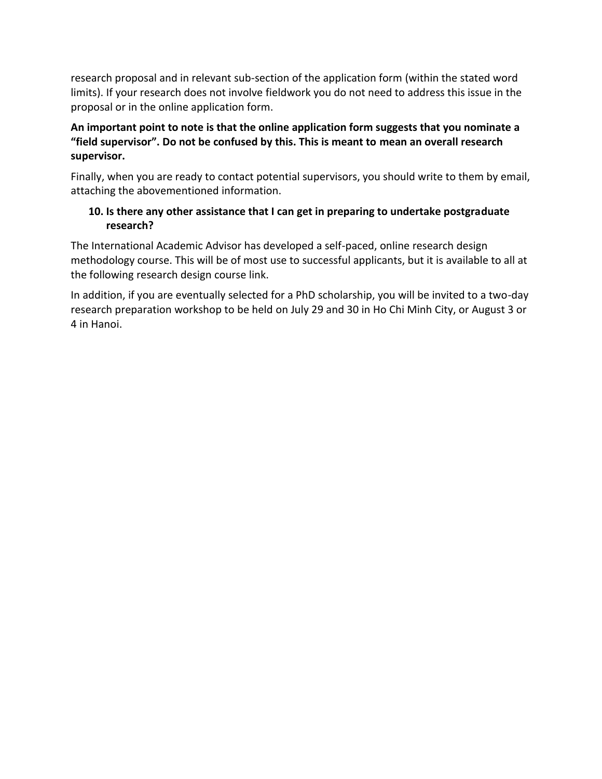research proposal and in relevant sub-section of the application form (within the stated word limits). If your research does not involve fieldwork you do not need to address this issue in the proposal or in the online application form.

#### **An important point to note is that the online application form suggests that you nominate a "field supervisor". Do not be confused by this. This is meant to mean an overall research supervisor.**

Finally, when you are ready to contact potential supervisors, you should write to them by email, attaching the abovementioned information.

#### **10. Is there any other assistance that I can get in preparing to undertake postgraduate research?**

The International Academic Advisor has developed a self-paced, online research design methodology course. This will be of most use to successful applicants, but it is available to all at the following research design course link.

In addition, if you are eventually selected for a PhD scholarship, you will be invited to a two-day research preparation workshop to be held on July 29 and 30 in Ho Chi Minh City, or August 3 or 4 in Hanoi.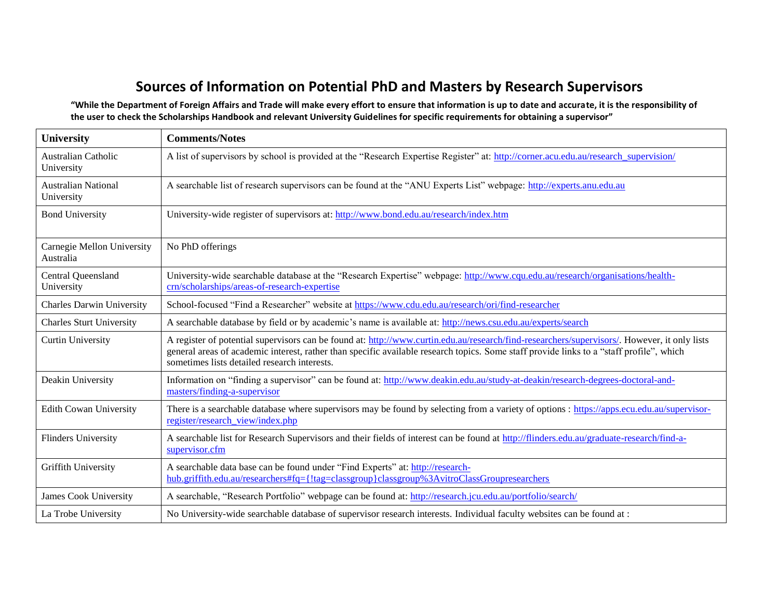# **Sources of Information on Potential PhD and Masters by Research Supervisors**

**"While the Department of Foreign Affairs and Trade will make every effort to ensure that information is up to date and accurate, it is the responsibility of the user to check the Scholarships Handbook and relevant University Guidelines for specific requirements for obtaining a supervisor"**

| <b>University</b>                        | <b>Comments/Notes</b>                                                                                                                                                                                                                                                                                                                    |  |  |
|------------------------------------------|------------------------------------------------------------------------------------------------------------------------------------------------------------------------------------------------------------------------------------------------------------------------------------------------------------------------------------------|--|--|
| Australian Catholic<br>University        | A list of supervisors by school is provided at the "Research Expertise Register" at: http://corner.acu.edu.au/research supervision/                                                                                                                                                                                                      |  |  |
| <b>Australian National</b><br>University | A searchable list of research supervisors can be found at the "ANU Experts List" webpage: http://experts.anu.edu.au                                                                                                                                                                                                                      |  |  |
| <b>Bond University</b>                   | University-wide register of supervisors at: http://www.bond.edu.au/research/index.htm                                                                                                                                                                                                                                                    |  |  |
| Carnegie Mellon University<br>Australia  | No PhD offerings                                                                                                                                                                                                                                                                                                                         |  |  |
| Central Queensland<br>University         | University-wide searchable database at the "Research Expertise" webpage: http://www.cqu.edu.au/research/organisations/health-<br>crn/scholarships/areas-of-research-expertise                                                                                                                                                            |  |  |
| <b>Charles Darwin University</b>         | School-focused "Find a Researcher" website at https://www.cdu.edu.au/research/ori/find-researcher                                                                                                                                                                                                                                        |  |  |
| <b>Charles Sturt University</b>          | A searchable database by field or by academic's name is available at: http://news.csu.edu.au/experts/search                                                                                                                                                                                                                              |  |  |
| <b>Curtin University</b>                 | A register of potential supervisors can be found at: http://www.curtin.edu.au/research/find-researchers/supervisors/. However, it only lists<br>general areas of academic interest, rather than specific available research topics. Some staff provide links to a "staff profile", which<br>sometimes lists detailed research interests. |  |  |
| Deakin University                        | Information on "finding a supervisor" can be found at: http://www.deakin.edu.au/study-at-deakin/research-degrees-doctoral-and-<br>masters/finding-a-supervisor                                                                                                                                                                           |  |  |
| <b>Edith Cowan University</b>            | There is a searchable database where supervisors may be found by selecting from a variety of options : https://apps.ecu.edu.au/supervisor-<br>register/research view/index.php                                                                                                                                                           |  |  |
| <b>Flinders University</b>               | A searchable list for Research Supervisors and their fields of interest can be found at http://flinders.edu.au/graduate-research/find-a-<br>supervisor.cfm                                                                                                                                                                               |  |  |
| Griffith University                      | A searchable data base can be found under "Find Experts" at: http://research-<br>hub.griffith.edu.au/researchers#fq={!tag=classgroup}classgroup%3AvitroClassGroupresearchers                                                                                                                                                             |  |  |
| James Cook University                    | A searchable, "Research Portfolio" webpage can be found at: http://research.jcu.edu.au/portfolio/search/                                                                                                                                                                                                                                 |  |  |
| La Trobe University                      | No University-wide searchable database of supervisor research interests. Individual faculty websites can be found at :                                                                                                                                                                                                                   |  |  |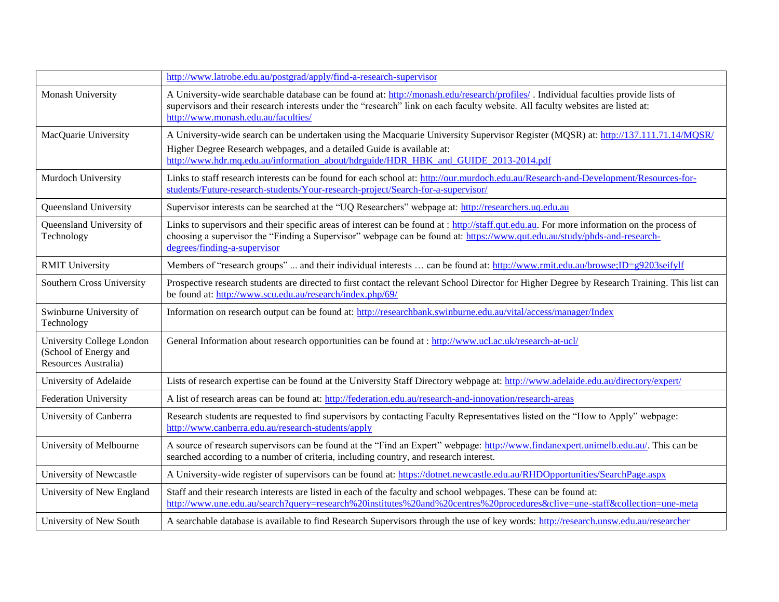|                                                                            | http://www.latrobe.edu.au/postgrad/apply/find-a-research-supervisor                                                                                                                                                                                                                                          |  |  |
|----------------------------------------------------------------------------|--------------------------------------------------------------------------------------------------------------------------------------------------------------------------------------------------------------------------------------------------------------------------------------------------------------|--|--|
| Monash University                                                          | A University-wide searchable database can be found at: http://monash.edu/research/profiles/. Individual faculties provide lists of<br>supervisors and their research interests under the "research" link on each faculty website. All faculty websites are listed at:<br>http://www.monash.edu.au/faculties/ |  |  |
| MacQuarie University                                                       | A University-wide search can be undertaken using the Macquarie University Supervisor Register (MQSR) at: http://137.111.71.14/MOSR/<br>Higher Degree Research webpages, and a detailed Guide is available at:<br>http://www.hdr.mq.edu.au/information_about/hdrguide/HDR_HBK_and_GUIDE_2013-2014.pdf         |  |  |
| Murdoch University                                                         | Links to staff research interests can be found for each school at: http://our.murdoch.edu.au/Research-and-Development/Resources-for-<br>students/Future-research-students/Your-research-project/Search-for-a-supervisor/                                                                                     |  |  |
| Queensland University                                                      | Supervisor interests can be searched at the "UQ Researchers" webpage at: http://researchers.uq.edu.au                                                                                                                                                                                                        |  |  |
| Queensland University of<br>Technology                                     | Links to supervisors and their specific areas of interest can be found at : http://staff.qut.edu.au. For more information on the process of<br>choosing a supervisor the "Finding a Supervisor" webpage can be found at: https://www.qut.edu.au/study/phds-and-research-<br>degrees/finding-a-supervisor     |  |  |
| <b>RMIT University</b>                                                     | Members of "research groups"  and their individual interests  can be found at: http://www.rmit.edu.au/browse;ID=g9203seifylf                                                                                                                                                                                 |  |  |
| Southern Cross University                                                  | Prospective research students are directed to first contact the relevant School Director for Higher Degree by Research Training. This list can<br>be found at: http://www.scu.edu.au/research/index.php/69/                                                                                                  |  |  |
| Swinburne University of<br>Technology                                      | Information on research output can be found at: http://researchbank.swinburne.edu.au/vital/access/manager/Index                                                                                                                                                                                              |  |  |
| University College London<br>(School of Energy and<br>Resources Australia) | General Information about research opportunities can be found at : http://www.ucl.ac.uk/research-at-ucl/                                                                                                                                                                                                     |  |  |
| University of Adelaide                                                     | Lists of research expertise can be found at the University Staff Directory webpage at: http://www.adelaide.edu.au/directory/expert/                                                                                                                                                                          |  |  |
| <b>Federation University</b>                                               | A list of research areas can be found at: http://federation.edu.au/research-and-innovation/research-areas                                                                                                                                                                                                    |  |  |
| University of Canberra                                                     | Research students are requested to find supervisors by contacting Faculty Representatives listed on the "How to Apply" webpage:<br>http://www.canberra.edu.au/research-students/apply                                                                                                                        |  |  |
| University of Melbourne                                                    | A source of research supervisors can be found at the "Find an Expert" webpage: http://www.findanexpert.unimelb.edu.au/. This can be<br>searched according to a number of criteria, including country, and research interest.                                                                                 |  |  |
| University of Newcastle                                                    | A University-wide register of supervisors can be found at: https://dotnet.newcastle.edu.au/RHDOpportunities/SearchPage.aspx                                                                                                                                                                                  |  |  |
| University of New England                                                  | Staff and their research interests are listed in each of the faculty and school webpages. These can be found at:<br>http://www.une.edu.au/search?query=research%20institutes%20and%20centres%20procedures&clive=une-staff&collection=une-meta                                                                |  |  |
| University of New South                                                    | A searchable database is available to find Research Supervisors through the use of key words: http://research.unsw.edu.au/researcher                                                                                                                                                                         |  |  |